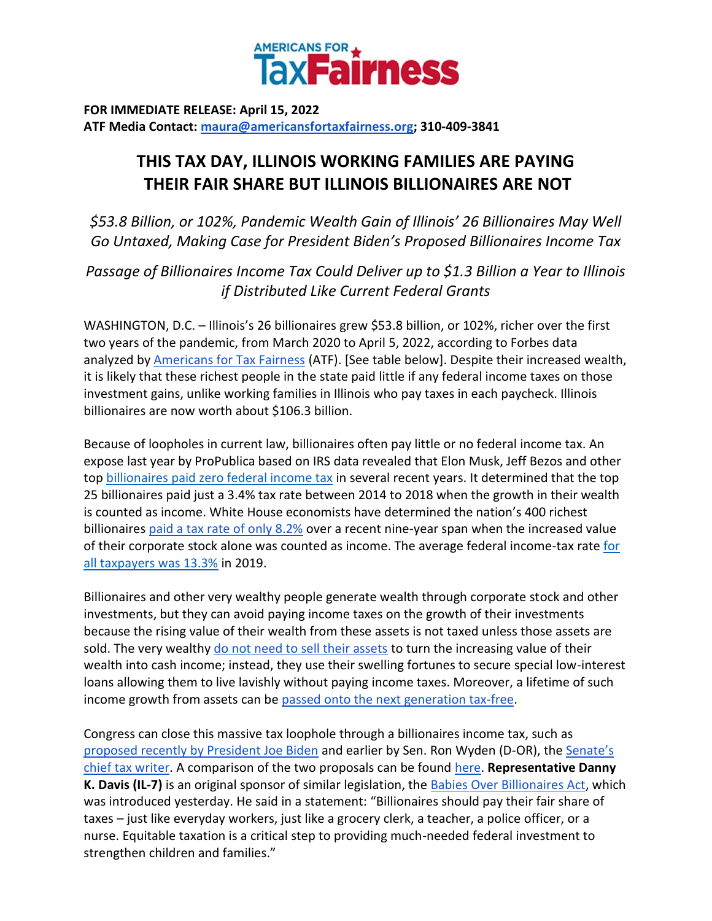

**FOR IMMEDIATE RELEASE: April 15, 2022 ATF Media Contact: [maura@americansfortaxfairness.org;](mailto:maura@americansfortaxfairness.org) 310-409-3841**

## **THIS TAX DAY, ILLINOIS WORKING FAMILIES ARE PAYING THEIR FAIR SHARE BUT ILLINOIS BILLIONAIRES ARE NOT**

*\$53.8 Billion, or 102%, Pandemic Wealth Gain of Illinois' 26 Billionaires May Well Go Untaxed, Making Case for President Biden's Proposed Billionaires Income Tax*

*Passage of Billionaires Income Tax Could Deliver up to \$1.3 Billion a Year to Illinois if Distributed Like Current Federal Grants*

WASHINGTON, D.C. – Illinois's 26 billionaires grew \$53.8 billion, or 102%, richer over the first two years of the pandemic, from March 2020 to April 5, 2022, according to Forbes data analyzed by [Americans for Tax Fairness](https://americansfortaxfairness.org/) (ATF). [See table below]. Despite their increased wealth, it is likely that these richest people in the state paid little if any federal income taxes on those investment gains, unlike working families in Illinois who pay taxes in each paycheck. Illinois billionaires are now worth about \$106.3 billion.

Because of loopholes in current law, billionaires often pay little or no federal income tax. An expose last year by ProPublica based on IRS data revealed that Elon Musk, Jeff Bezos and other to[p](https://americansfortaxfairness.org/wp-content/uploads/ProPublica-Billionaires-Fact-Sheet-Updated.pdf) [billionaires paid zero federal income tax](https://americansfortaxfairness.org/wp-content/uploads/ProPublica-Billionaires-Fact-Sheet-Updated.pdf) in several recent years. It determined that the top 25 billionaires paid just a 3.4% tax rate between 2014 to 2018 when the growth in their wealth is counted as income. White House economists have determined the nation's 400 richest billionaire[s](https://www.whitehouse.gov/cea/written-materials/2021/09/23/what-is-the-average-federal-individual-income-tax-rate-on-the-wealthiest-americans/) [paid a tax rate of only 8.2%](https://www.whitehouse.gov/cea/written-materials/2021/09/23/what-is-the-average-federal-individual-income-tax-rate-on-the-wealthiest-americans/) over a recent nine-year span when the increased value of their corporate stock alone was counted as income. The average federal income-tax rat[e](https://taxfoundation.org/summary-latest-federal-income-tax-data-2022-update/) [for](https://taxfoundation.org/summary-latest-federal-income-tax-data-2022-update/)  [all taxpayers was 13.3%](https://taxfoundation.org/summary-latest-federal-income-tax-data-2022-update/) in 2019.

Billionaires and other very wealthy people generate wealth through corporate stock and other investments, but they can avoid paying income taxes on the growth of their investments because the rising value of their wealth from these assets is not taxed unless those assets are sold. The ver[y](https://www.wsj.com/articles/buy-borrow-die-how-rich-americans-live-off-their-paper-wealth-11625909583) wealthy [do not need to sell their assets](https://www.wsj.com/articles/buy-borrow-die-how-rich-americans-live-off-their-paper-wealth-11625909583) to turn the increasing value of their wealth into cash income; instead, they use their swelling fortunes to secure special low-interest loans allowing them to live lavishly without paying income taxes. Moreover, a lifetime of such income growth from assets can b[e](https://americansfortaxfairness.org/issue/stop-protecting-billionaires-close-stepped-basis-loophole/) [passed onto the next generation tax-free.](https://americansfortaxfairness.org/issue/stop-protecting-billionaires-close-stepped-basis-loophole/)

Congress can close this massive tax loophole through a billionaires income tax, such as [proposed recently by President Joe Biden](https://www.whitehouse.gov/omb/briefing-room/2022/03/28/presidents-budget-rewards-work-not-wealth-with-new-billionaire-minimum-income-tax/) and earlier by Sen. Ron Wyden (D-OR), th[e](https://www.finance.senate.gov/chairmans-news/wyden-unveils-billionaires-income-tax) [Senate's](https://www.finance.senate.gov/chairmans-news/wyden-unveils-billionaires-income-tax)  [chief tax writer.](https://www.finance.senate.gov/chairmans-news/wyden-unveils-billionaires-income-tax) A comparison of the two proposals can be foun[d](https://docs.google.com/document/d/1VdQTBEMGB2dHRGIt823stOBmIdul86-N7fYAQWxp-wU/edit?usp=sharing) [here.](https://americansfortaxfairness.org/issue/comparison-biden-wyden-billionaires-income-tax-proposals-short/) **Representative Danny K. Davis (IL-7)** is an original sponsor of similar legislation, the [Babies Over Billionaires Act,](https://bowman.house.gov/press-releases?ID=AB67461D-540C-4660-8F3E-F665BE5F3777) which was introduced yesterday. He said in a statement: "Billionaires should pay their fair share of taxes – just like everyday workers, just like a grocery clerk, a teacher, a police officer, or a nurse. Equitable taxation is a critical step to providing much-needed federal investment to strengthen children and families."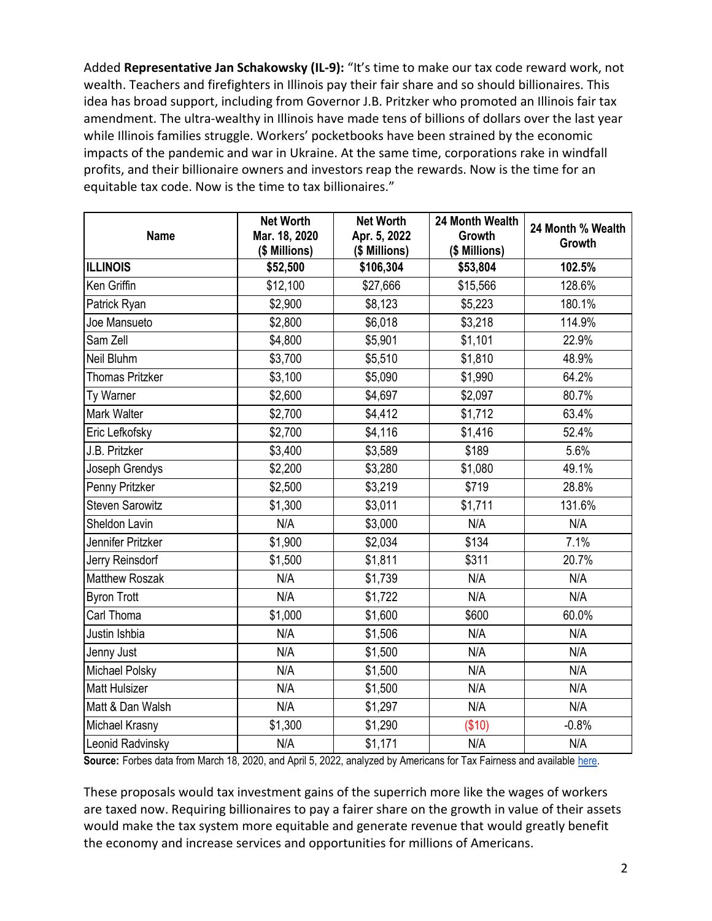Added **Representative Jan Schakowsky (IL-9):** "It's time to make our tax code reward work, not wealth. Teachers and firefighters in Illinois pay their fair share and so should billionaires. This idea has broad support, including from Governor J.B. Pritzker who promoted an Illinois fair tax amendment. The ultra-wealthy in Illinois have made tens of billions of dollars over the last year while Illinois families struggle. Workers' pocketbooks have been strained by the economic impacts of the pandemic and war in Ukraine. At the same time, corporations rake in windfall profits, and their billionaire owners and investors reap the rewards. Now is the time for an equitable tax code. Now is the time to tax billionaires."

| <b>Name</b>            | <b>Net Worth</b><br>Mar. 18, 2020<br>(\$ Millions) | <b>Net Worth</b><br>Apr. 5, 2022<br>(\$ Millions) | 24 Month Wealth<br><b>Growth</b><br>(\$ Millions) | 24 Month % Wealth<br>Growth |
|------------------------|----------------------------------------------------|---------------------------------------------------|---------------------------------------------------|-----------------------------|
| <b>ILLINOIS</b>        | \$52,500                                           | \$106,304                                         | \$53,804                                          | 102.5%                      |
| Ken Griffin            | \$12,100                                           | \$27,666                                          | \$15,566                                          | 128.6%                      |
| Patrick Ryan           | \$2,900                                            | \$8,123                                           | \$5,223                                           | 180.1%                      |
| Joe Mansueto           | \$2,800                                            | \$6,018                                           | \$3,218                                           | 114.9%                      |
| Sam Zell               | \$4,800                                            | \$5,901                                           | \$1,101                                           | 22.9%                       |
| Neil Bluhm             | \$3,700                                            | \$5,510                                           | \$1,810                                           | 48.9%                       |
| <b>Thomas Pritzker</b> | \$3,100                                            | \$5,090                                           | \$1,990                                           | 64.2%                       |
| Ty Warner              | \$2,600                                            | \$4,697                                           | \$2,097                                           | 80.7%                       |
| Mark Walter            | \$2,700                                            | \$4,412                                           | \$1,712                                           | 63.4%                       |
| Eric Lefkofsky         | \$2,700                                            | \$4,116                                           | \$1,416                                           | 52.4%                       |
| J.B. Pritzker          | \$3,400                                            | \$3,589                                           | \$189                                             | 5.6%                        |
| Joseph Grendys         | \$2,200                                            | \$3,280                                           | \$1,080                                           | 49.1%                       |
| Penny Pritzker         | \$2,500                                            | \$3,219                                           | \$719                                             | 28.8%                       |
| <b>Steven Sarowitz</b> | \$1,300                                            | \$3,011                                           | \$1,711                                           | 131.6%                      |
| Sheldon Lavin          | N/A                                                | \$3,000                                           | N/A                                               | N/A                         |
| Jennifer Pritzker      | \$1,900                                            | \$2,034                                           | \$134                                             | 7.1%                        |
| Jerry Reinsdorf        | \$1,500                                            | \$1,811                                           | \$311                                             | 20.7%                       |
| <b>Matthew Roszak</b>  | N/A                                                | \$1,739                                           | N/A                                               | N/A                         |
| <b>Byron Trott</b>     | N/A                                                | \$1,722                                           | N/A                                               | N/A                         |
| Carl Thoma             | \$1,000                                            | \$1,600                                           | \$600                                             | 60.0%                       |
| Justin Ishbia          | N/A                                                | \$1,506                                           | N/A                                               | N/A                         |
| Jenny Just             | N/A                                                | \$1,500                                           | N/A                                               | N/A                         |
| Michael Polsky         | N/A                                                | \$1,500                                           | N/A                                               | N/A                         |
| <b>Matt Hulsizer</b>   | N/A                                                | \$1,500                                           | N/A                                               | N/A                         |
| Matt & Dan Walsh       | N/A                                                | \$1,297                                           | N/A                                               | N/A                         |
| Michael Krasny         | \$1,300                                            | \$1,290                                           | (\$10)                                            | $-0.8%$                     |
| Leonid Radvinsky       | N/A                                                | \$1,171                                           | N/A                                               | N/A                         |

Source: Forbes data from March 18, 2020, and April 5, 2022, analyzed by Americans for Tax Fairness and available [here.](https://docs.google.com/spreadsheets/d/1MksOhwmIojtZihAmPcfcYeaGoG3FOFZmiKUza1dIRD4/edit?usp=sharing)

These proposals would tax investment gains of the superrich more like the wages of workers are taxed now. Requiring billionaires to pay a fairer share on the growth in value of their assets would make the tax system more equitable and generate revenue that would greatly benefit the economy and increase services and opportunities for millions of Americans.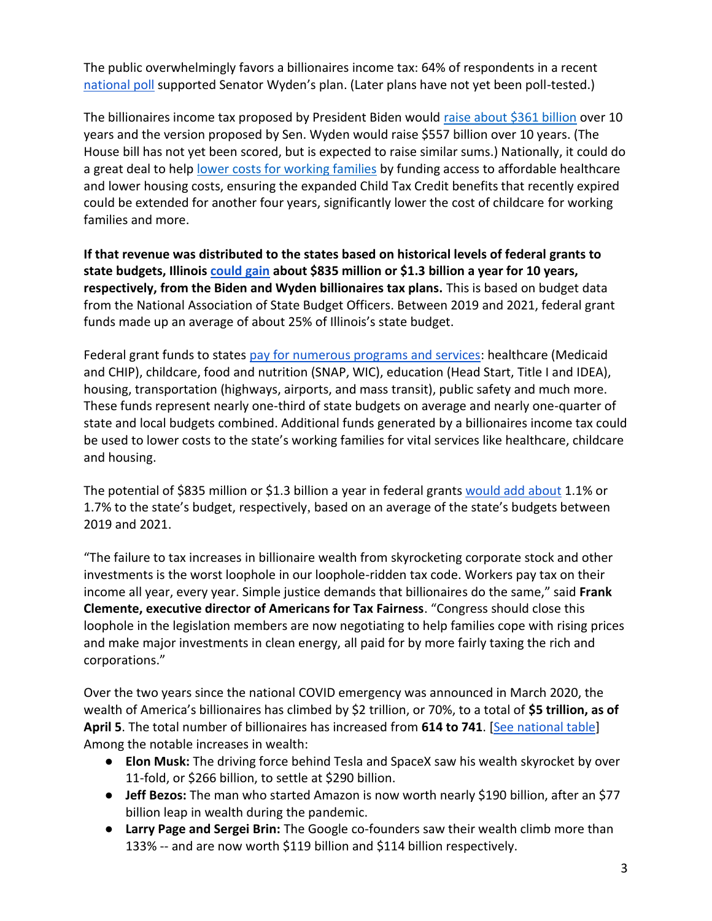The public overwhelmingly favors a billionaires income tax: 64% of respondents in a recen[t](https://docs.google.com/document/d/1AhWvucOLV2qY6izLkZvHpPig6DDmdFaCbmeM-5E65Xw/edit) [national poll](https://docs.google.com/document/d/1AhWvucOLV2qY6izLkZvHpPig6DDmdFaCbmeM-5E65Xw/edit) supported Senator Wyden's plan. (Later plans have not yet been poll-tested.)

The billionaires income tax proposed by President Biden would [raise about \\$361 billion](https://americansfortaxfairness.org/issue/comparison-biden-wyden-billionaires-income-tax-proposals-short/) over 10 years and the version proposed by Sen. Wyden would raise \$557 billion over 10 years. (The House bill has not yet been scored, but is expected to raise similar sums.) Nationally, it could do a great deal to hel[p](https://americansfortaxfairness.org/issue/6-ways-spend-revenue-billionaires-income-tax/) [lower costs for working families](https://americansfortaxfairness.org/issue/6-ways-spend-revenue-billionaires-income-tax/) by funding access to affordable healthcare and lower housing costs, ensuring the expanded Child Tax Credit benefits that recently expired could be extended for another four years, significantly lower the cost of childcare for working families and more.

**If that revenue was distributed to the states based on historical levels of federal grants to state budgets, Illinoi[s](https://docs.google.com/spreadsheets/d/1uMGQ0_Ow8ssIrktfYIvIQZwB44zOHf82ILpvh5kzWUI/edit?usp=sharing) [could gain](https://docs.google.com/spreadsheets/d/1uMGQ0_Ow8ssIrktfYIvIQZwB44zOHf82ILpvh5kzWUI/edit?usp=sharing) about \$835 million or \$1.3 billion a year for 10 years, respectively, from the Biden and Wyden billionaires tax plans.** This is based on budget data from the National Association of State Budget Officers. Between 2019 and 2021, federal grant funds made up an average of about 25% of Illinois's state budget.

Federal grant funds to states [pay for numerous programs and services:](https://www.cbpp.org/research/state-budget-and-tax/federal-aid-to-state-and-local-governments) healthcare (Medicaid and CHIP), childcare, food and nutrition (SNAP, WIC), education (Head Start, Title I and IDEA), housing, transportation (highways, airports, and mass transit), public safety and much more. These funds represent nearly one-third of state budgets on average and nearly one-quarter of state and local budgets combined. Additional funds generated by a billionaires income tax could be used to lower costs to the state's working families for vital services like healthcare, childcare and housing.

The potential of \$835 million or \$1.3 billion a year in federal grant[s](https://docs.google.com/spreadsheets/d/1uMGQ0_Ow8ssIrktfYIvIQZwB44zOHf82ILpvh5kzWUI/edit?usp=sharing) [would add about](https://docs.google.com/spreadsheets/d/1uMGQ0_Ow8ssIrktfYIvIQZwB44zOHf82ILpvh5kzWUI/edit?usp=sharing) 1.1% or 1.7% to the state's budget, respectively, based on an average of the state's budgets between 2019 and 2021.

"The failure to tax increases in billionaire wealth from skyrocketing corporate stock and other investments is the worst loophole in our loophole-ridden tax code. Workers pay tax on their income all year, every year. Simple justice demands that billionaires do the same," said **Frank Clemente, executive director of Americans for Tax Fairness**. "Congress should close this loophole in the legislation members are now negotiating to help families cope with rising prices and make major investments in clean energy, all paid for by more fairly taxing the rich and corporations."

Over the two years since the national COVID emergency was announced in March 2020, the wealth of America's billionaires has climbed by \$2 trillion, or 70%, to a total of **\$5 trillion, as of April 5**. The total number of billionaires has increased from **614 to 741**. [\[See national table\]](https://docs.google.com/spreadsheets/d/1MksOhwmIojtZihAmPcfcYeaGoG3FOFZmiKUza1dIRD4/edit?usp=sharing) Among the notable increases in wealth:

- **Elon Musk:** The driving force behind Tesla and SpaceX saw his wealth skyrocket by over 11-fold, or \$266 billion, to settle at \$290 billion.
- **Jeff Bezos:** The man who started Amazon is now worth nearly \$190 billion, after an \$77 billion leap in wealth during the pandemic.
- **Larry Page and Sergei Brin:** The Google co-founders saw their wealth climb more than 133% -- and are now worth \$119 billion and \$114 billion respectively.